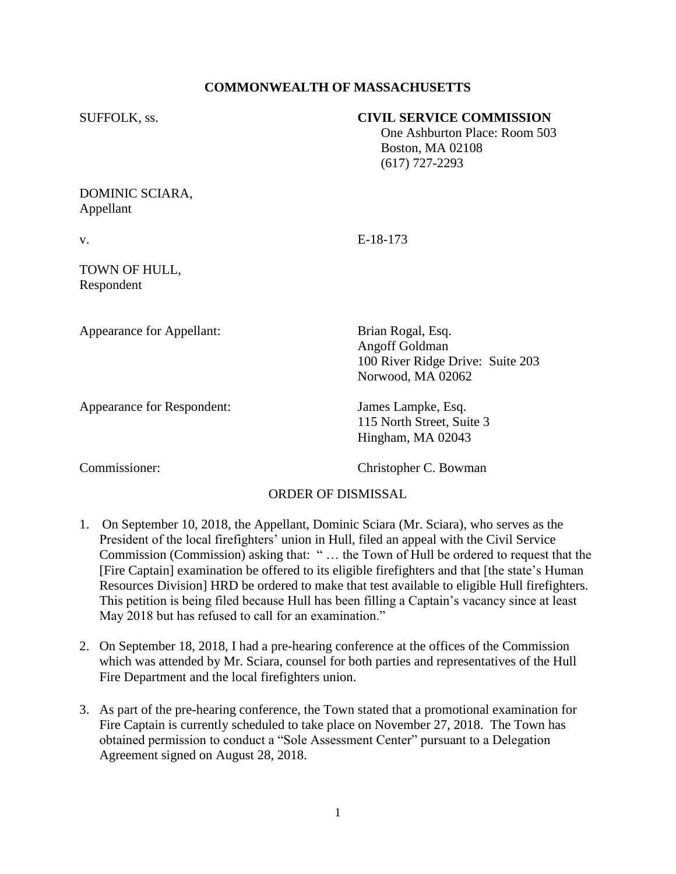## **COMMONWEALTH OF MASSACHUSETTS**

### SUFFOLK, ss. **CIVIL SERVICE COMMISSION**

 One Ashburton Place: Room 503 Boston, MA 02108 (617) 727-2293

### DOMINIC SCIARA, Appellant

v. E-18-173

## TOWN OF HULL, Respondent

Appearance for Appellant: Brian Rogal, Esq.

Appearance for Respondent: James Lampke, Esq.

Angoff Goldman 100 River Ridge Drive: Suite 203 Norwood, MA 02062

115 North Street, Suite 3 Hingham, MA 02043

Commissioner: Christopher C. Bowman

# ORDER OF DISMISSAL

- 1. On September 10, 2018, the Appellant, Dominic Sciara (Mr. Sciara), who serves as the President of the local firefighters' union in Hull, filed an appeal with the Civil Service Commission (Commission) asking that: " … the Town of Hull be ordered to request that the [Fire Captain] examination be offered to its eligible firefighters and that [the state's Human Resources Division] HRD be ordered to make that test available to eligible Hull firefighters. This petition is being filed because Hull has been filling a Captain's vacancy since at least May 2018 but has refused to call for an examination."
- 2. On September 18, 2018, I had a pre-hearing conference at the offices of the Commission which was attended by Mr. Sciara, counsel for both parties and representatives of the Hull Fire Department and the local firefighters union.
- 3. As part of the pre-hearing conference, the Town stated that a promotional examination for Fire Captain is currently scheduled to take place on November 27, 2018. The Town has obtained permission to conduct a "Sole Assessment Center" pursuant to a Delegation Agreement signed on August 28, 2018.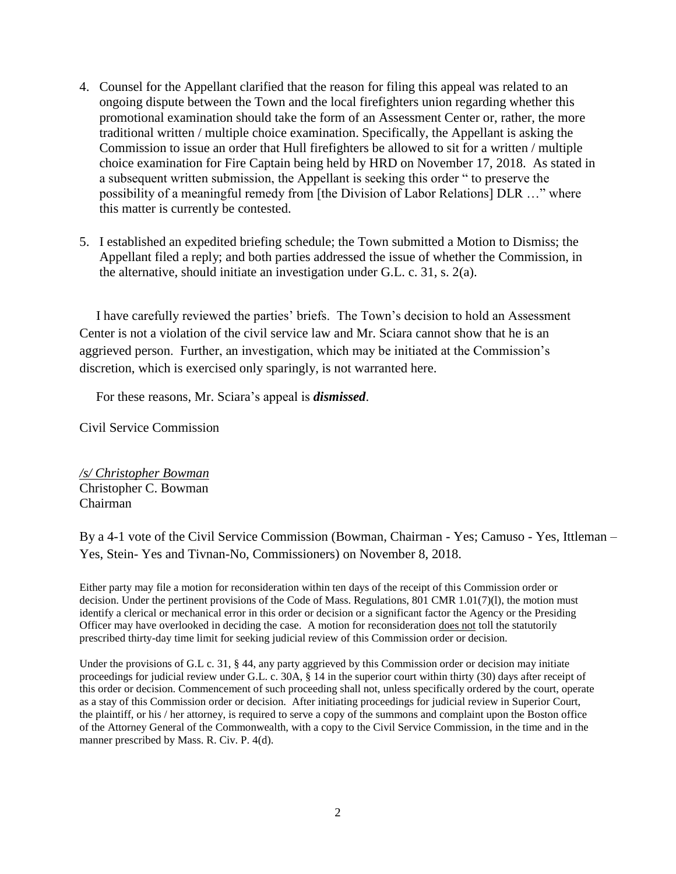- 4. Counsel for the Appellant clarified that the reason for filing this appeal was related to an ongoing dispute between the Town and the local firefighters union regarding whether this promotional examination should take the form of an Assessment Center or, rather, the more traditional written / multiple choice examination. Specifically, the Appellant is asking the Commission to issue an order that Hull firefighters be allowed to sit for a written / multiple choice examination for Fire Captain being held by HRD on November 17, 2018. As stated in a subsequent written submission, the Appellant is seeking this order " to preserve the possibility of a meaningful remedy from [the Division of Labor Relations] DLR …" where this matter is currently be contested.
- 5. I established an expedited briefing schedule; the Town submitted a Motion to Dismiss; the Appellant filed a reply; and both parties addressed the issue of whether the Commission, in the alternative, should initiate an investigation under G.L. c. 31, s. 2(a).

 I have carefully reviewed the parties' briefs. The Town's decision to hold an Assessment Center is not a violation of the civil service law and Mr. Sciara cannot show that he is an aggrieved person. Further, an investigation, which may be initiated at the Commission's discretion, which is exercised only sparingly, is not warranted here.

For these reasons, Mr. Sciara's appeal is *dismissed*.

Civil Service Commission

*/s/ Christopher Bowman* Christopher C. Bowman Chairman

By a 4-1 vote of the Civil Service Commission (Bowman, Chairman - Yes; Camuso - Yes, Ittleman – Yes, Stein- Yes and Tivnan-No, Commissioners) on November 8, 2018.

Either party may file a motion for reconsideration within ten days of the receipt of this Commission order or decision. Under the pertinent provisions of the Code of Mass. Regulations, 801 CMR 1.01(7)(l), the motion must identify a clerical or mechanical error in this order or decision or a significant factor the Agency or the Presiding Officer may have overlooked in deciding the case. A motion for reconsideration does not toll the statutorily prescribed thirty-day time limit for seeking judicial review of this Commission order or decision.

Under the provisions of G.L c. 31, § 44, any party aggrieved by this Commission order or decision may initiate proceedings for judicial review under G.L. c. 30A, § 14 in the superior court within thirty (30) days after receipt of this order or decision. Commencement of such proceeding shall not, unless specifically ordered by the court, operate as a stay of this Commission order or decision. After initiating proceedings for judicial review in Superior Court, the plaintiff, or his / her attorney, is required to serve a copy of the summons and complaint upon the Boston office of the Attorney General of the Commonwealth, with a copy to the Civil Service Commission, in the time and in the manner prescribed by Mass. R. Civ. P. 4(d).